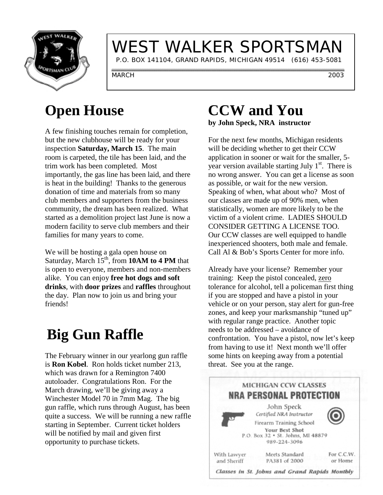

# WEST WALKER SPORTSMAN

P.O. BOX 141104, GRAND RAPIDS, MICHIGAN 49514 (616) 453-5081

MARCH 2003

## **Open House**

A few finishing touches remain for completion, but the new clubhouse will be ready for your inspection **Saturday, March 15**. The main room is carpeted, the tile has been laid, and the trim work has been completed. Most importantly, the gas line has been laid, and there is heat in the building! Thanks to the generous donation of time and materials from so many club members and supporters from the business community, the dream has been realized. What started as a demolition project last June is now a modern facility to serve club members and their families for many years to come.

We will be hosting a gala open house on Saturday, March 15<sup>th</sup>, from **10AM to 4 PM** that is open to everyone, members and non-members alike. You can enjoy **free hot dogs and soft drinks**, with **door prizes** and **raffles** throughout the day. Plan now to join us and bring your friends!

# **Big Gun Raffle**

The February winner in our yearlong gun raffle is **Ron Kobel**. Ron holds ticket number 213, which was drawn for a Remington 7400 autoloader. Congratulations Ron. For the March drawing, we'll be giving away a Winchester Model 70 in 7mm Mag. The big gun raffle, which runs through August, has been quite a success. We will be running a new raffle starting in September. Current ticket holders will be notified by mail and given first opportunity to purchase tickets.

### **CCW and You by John Speck, NRA instructor**

For the next few months, Michigan residents will be deciding whether to get their CCW application in sooner or wait for the smaller, 5 year version available starting July  $1<sup>st</sup>$ . There is no wrong answer. You can get a license as soon as possible, or wait for the new version. Speaking of when, what about who? Most of our classes are made up of 90% men, when statistically, women are more likely to be the victim of a violent crime. LADIES SHOULD CONSIDER GETTING A LICENSE TOO. Our CCW classes are well equipped to handle inexperienced shooters, both male and female. Call Al & Bob's Sports Center for more info.

Already have your license? Remember your training: Keep the pistol concealed, zero tolerance for alcohol, tell a policeman first thing if you are stopped and have a pistol in your vehicle or on your person, stay alert for gun-free zones, and keep your marksmanship "tuned up" with regular range practice. Another topic needs to be addressed – avoidance of confrontation. You have a pistol, now let's keep from having to use it! Next month we'll offer some hints on keeping away from a potential threat. See you at the range.

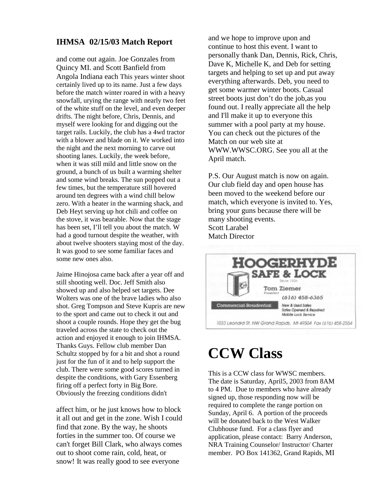#### **IHMSA 02/15/03 Match Report**

and come out again. Joe Gonzales from Quincy MI. and Scott Banfield from Angola Indiana each This years winter shoot certainly lived up to its name. Just a few days before the match winter roared in with a heavy snowfall, urying the range with nearly two feet of the white stuff on the level, and even deeper drifts. The night before, Chris, Dennis, and myself were looking for and digging out the target rails. Luckily, the club has a 4wd tractor with a blower and blade on it. We worked into the night and the next morning to carve out shooting lanes. Luckily, the week before, when it was still mild and little snow on the ground, a bunch of us built a warming shelter and some wind breaks. The sun popped out a few times, but the temperature still hovered around ten degrees with a wind chill below zero. With a heater in the warming shack, and Deb Heyt serving up hot chili and coffee on the stove, it was bearable. Now that the stage has been set, I'll tell you about the match. W had a good turnout despite the weather, with about twelve shooters staying most of the day. It was good to see some familiar faces and some new ones also.

Jaime Hinojosa came back after a year off and still shooting well. Doc. Jeff Smith also showed up and also helped set targets. Dee Wolters was one of the brave ladies who also shot. Greg Tompson and Steve Kupris are new to the sport and came out to check it out and shoot a couple rounds. Hope they get the bug traveled across the state to check out the action and enjoyed it enough to join IHMSA. Thanks Guys. Fellow club member Dan Schultz stopped by for a bit and shot a round just for the fun of it and to help support the club. There were some good scores turned in despite the conditions, with Gary Essenberg firing off a perfect forty in Big Bore. Obviously the freezing conditions didn't

affect him, or he just knows how to block it all out and get in the zone. Wish I could find that zone. By the way, he shoots forties in the summer too. Of course we can't forget Bill Clark, who always comes out to shoot come rain, cold, heat, or snow! It was really good to see everyone

and we hope to improve upon and continue to host this event. I want to personally thank Dan, Dennis, Rick, Chris, Dave K, Michelle K, and Deb for setting targets and helping to set up and put away everything afterwards. Deb, you need to get some warmer winter boots. Casual street boots just don't do the job,as you found out. I really appreciate all the help and I'll make it up to everyone this summer with a pool party at my house. You can check out the pictures of the Match on our web site at WWW.WWSC.ORG. See you all at the April match.

P.S. Our August match is now on again. Our club field day and open house has been moved to the weekend before our match, which everyone is invited to. Yes, bring your guns because there will be many shooting events. Scott Larabel Match Director



## **CCW Class**

This is a CCW class for WWSC members. The date is Saturday, April5, 2003 from 8AM to 4 PM. Due to members who have already signed up, those responding now will be required to complete the range portion on Sunday, April 6. A portion of the proceeds will be donated back to the West Walker Clubhouse fund. For a class flyer and application, please contact: Barry Anderson, NRA Training Counselor/ Instructor/ Charter member. PO Box 141362, Grand Rapids, MI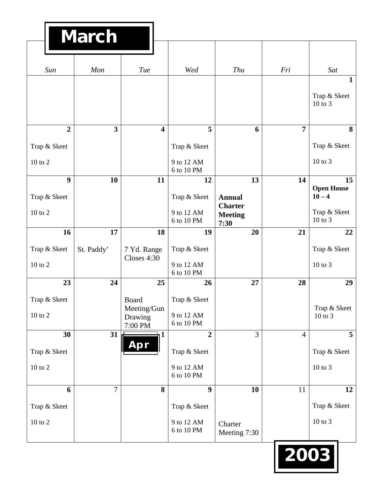|                | <b>March</b>            |                                   |                          |                                          |                |                                         |
|----------------|-------------------------|-----------------------------------|--------------------------|------------------------------------------|----------------|-----------------------------------------|
|                |                         |                                   |                          |                                          |                |                                         |
| Sun            | Mon                     | Tue                               | Wed                      | <b>Thu</b>                               | Fri            | Sat                                     |
|                |                         |                                   |                          |                                          |                | $\mathbf{1}$<br>Trap & Skeet<br>10 to 3 |
| $\overline{2}$ | $\overline{\mathbf{3}}$ | $\overline{\mathbf{4}}$           | 5                        | 6                                        | $\overline{7}$ | 8                                       |
| Trap & Skeet   |                         |                                   | Trap & Skeet             |                                          |                | Trap & Skeet                            |
| $10$ to $2$    |                         |                                   | 9 to 12 AM<br>6 to 10 PM |                                          |                | $10$ to $3$                             |
| 9              | 10                      | 11                                | 12                       | 13                                       | 14             | 15<br><b>Open House</b>                 |
| Trap & Skeet   |                         |                                   | Trap & Skeet             | <b>Annual</b>                            |                | $10 - 4$                                |
| 10 to 2        |                         |                                   | 9 to 12 AM<br>6 to 10 PM | <b>Charter</b><br><b>Meeting</b><br>7:30 |                | Trap & Skeet<br>10 to 3                 |
| 16             | 17                      | 18                                | 19                       | 20                                       | 21             | 22                                      |
| Trap & Skeet   | St. Paddy'              | 7 Yd. Range<br>Closes 4:30        | Trap & Skeet             |                                          |                | Trap & Skeet                            |
| 10 to 2        |                         |                                   | 9 to 12 AM<br>6 to 10 PM |                                          |                | 10 to 3                                 |
| 23             | 24                      | 25                                | 26                       | 27                                       | 28             | 29                                      |
| Trap & Skeet   |                         | Board                             | Trap & Skeet             |                                          |                |                                         |
| $10$ to $2\,$  |                         | Meeting/Gun<br>Drawing<br>7:00 PM | 9 to 12 AM<br>6 to 10 PM |                                          |                | Trap & Skeet<br>10 to 3                 |
| 30             | 31                      | 11                                | $\overline{2}$           | $\overline{3}$                           | $\overline{4}$ | $5\overline{)}$                         |
| Trap & Skeet   |                         | Apr                               | Trap & Skeet             |                                          |                | Trap & Skeet                            |
| $10$ to $2\,$  |                         |                                   | 9 to 12 AM<br>6 to 10 PM |                                          |                | $10$ to $3$                             |
| 6              | $\overline{7}$          | 8                                 | $\boldsymbol{9}$         | 10                                       | 11             | 12                                      |
| Trap & Skeet   |                         |                                   | Trap & Skeet             |                                          |                | Trap & Skeet                            |
| $10$ to $2\,$  |                         |                                   | 9 to 12 AM<br>6 to 10 PM | Charter<br>Meeting 7:30                  |                | $10$ to $3$                             |